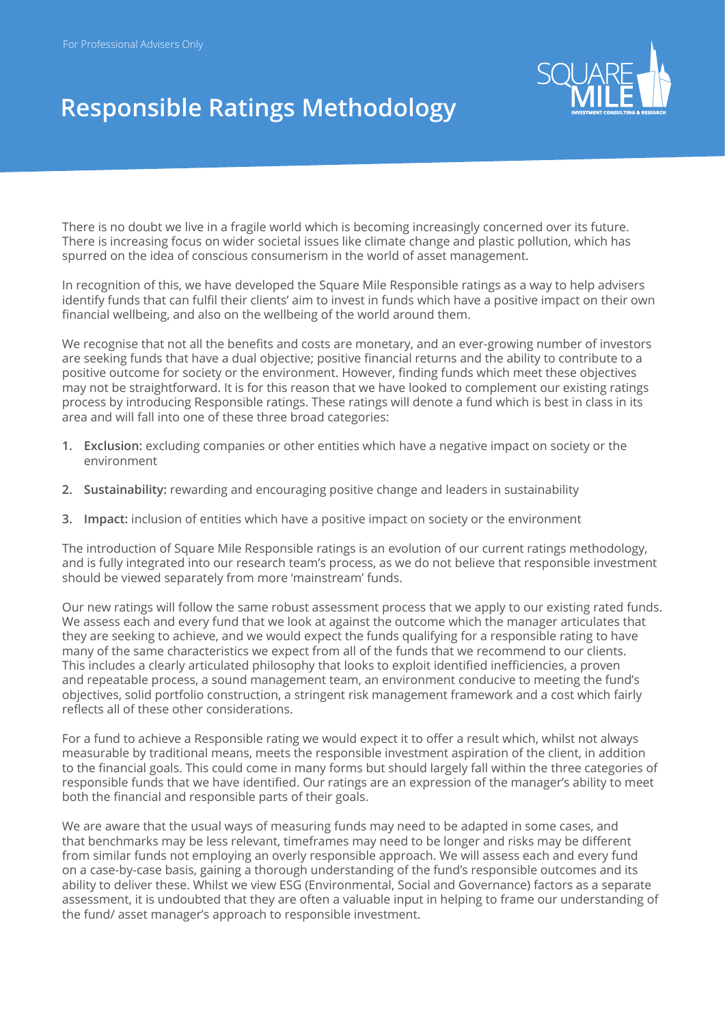

## **Responsible Ratings Methodology**

There is no doubt we live in a fragile world which is becoming increasingly concerned over its future. There is increasing focus on wider societal issues like climate change and plastic pollution, which has spurred on the idea of conscious consumerism in the world of asset management.

In recognition of this, we have developed the Square Mile Responsible ratings as a way to help advisers identify funds that can fulfil their clients' aim to invest in funds which have a positive impact on their own financial wellbeing, and also on the wellbeing of the world around them.

We recognise that not all the benefits and costs are monetary, and an ever-growing number of investors are seeking funds that have a dual objective; positive financial returns and the ability to contribute to a positive outcome for society or the environment. However, finding funds which meet these objectives may not be straightforward. It is for this reason that we have looked to complement our existing ratings process by introducing Responsible ratings. These ratings will denote a fund which is best in class in its area and will fall into one of these three broad categories:

- **1. Exclusion:** excluding companies or other entities which have a negative impact on society or the environment
- **2. Sustainability:** rewarding and encouraging positive change and leaders in sustainability
- **3. Impact:** inclusion of entities which have a positive impact on society or the environment

The introduction of Square Mile Responsible ratings is an evolution of our current ratings methodology, and is fully integrated into our research team's process, as we do not believe that responsible investment should be viewed separately from more 'mainstream' funds.

Our new ratings will follow the same robust assessment process that we apply to our existing rated funds. We assess each and every fund that we look at against the outcome which the manager articulates that they are seeking to achieve, and we would expect the funds qualifying for a responsible rating to have many of the same characteristics we expect from all of the funds that we recommend to our clients. This includes a clearly articulated philosophy that looks to exploit identified inefficiencies, a proven and repeatable process, a sound management team, an environment conducive to meeting the fund's objectives, solid portfolio construction, a stringent risk management framework and a cost which fairly reflects all of these other considerations.

For a fund to achieve a Responsible rating we would expect it to offer a result which, whilst not always measurable by traditional means, meets the responsible investment aspiration of the client, in addition to the financial goals. This could come in many forms but should largely fall within the three categories of responsible funds that we have identified. Our ratings are an expression of the manager's ability to meet both the financial and responsible parts of their goals.

We are aware that the usual ways of measuring funds may need to be adapted in some cases, and that benchmarks may be less relevant, timeframes may need to be longer and risks may be different from similar funds not employing an overly responsible approach. We will assess each and every fund on a case-by-case basis, gaining a thorough understanding of the fund's responsible outcomes and its ability to deliver these. Whilst we view ESG (Environmental, Social and Governance) factors as a separate assessment, it is undoubted that they are often a valuable input in helping to frame our understanding of the fund/ asset manager's approach to responsible investment.